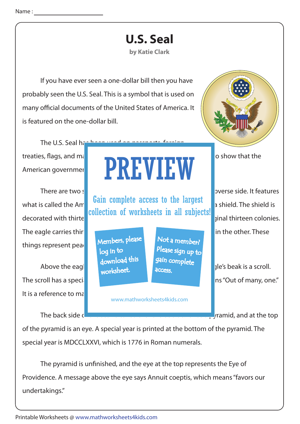## **U.S. Seal**

## **by Katie Clark**

 If you have ever seen a one-dollar bill then you have probably seen the U.S. Seal. This is a symbol that is used on many official documents of the United States of America. It is featured on the one-dollar bill.



The U.S. Seal has been used on passports

The eagle carries thir**the arrows in one talon areas in one talon and an olive branch in** the other. These things represent peac

The scroll has a special message. It says E pluribus unusual message. It says E pluribus unum. The scroll has a special It is a reference to ma

## treaties, flags, and  $m_i$  **other items over the years. It is a symbol to show that the** American government approves of the specific thing. We specific thing the specific things are specified to the PREVIEW

what is called the American complete above to the juryor  $\mathbb{R}^n$  shield. The shield is decorated with thirte **reduced and white stripes to represent the original thirteen colonies.** Gain complete access to the largest collection of worksheets in all subjects!

> Members, please download this worksheet. log in to

Not a member? gain complete Please sign up to **access** 

www.mathworksheets4kids.com

There are two sides to the Seale. The Seale is called the Seale. It features is called the obverse side. It features

Above the eagle is a cloud with the eagle is a scroll.

The back side  $\frac{1}{2}$  is called the reverse side. It is easily significant that the top

of the pyramid is an eye. A special year is printed at the bottom of the pyramid. The special year is MDCCLXXVI, which is 1776 in Roman numerals.

The pyramid is unfinished, and the eye at the top represents the Eye of Providence. A message above the eye says Annuit coeptis, which means "favors our undertakings."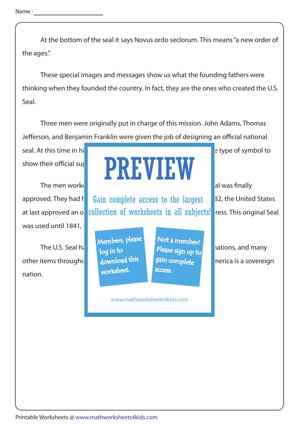Name :

 At the bottom of the seal it says Novus ordo seclorum. This means "a new order of the ages."

 These special images and messages show us what the founding fathers were thinking when they founded the country. In fact, they are the ones who created the U.S. Seal.

 Three men were originally put in charge of this mission. John Adams, Thomas Jefferson, and Benjamin Franklin were given the job of designing an official national

seal. At this time in history it was popular for countries to use some to use some to use some to use some to

was used until 1841.

The U.S. Seal has been used on the use of the U.S. Seal has been used on the use of the use of the use of the u other items throughd  $\frac{1}{2}$  download this  $\frac{1}{2}$  state complete  $\frac{1}{2}$  nerica is a sovereign nation.

## The men worked hard over many years before the output of the output of the output of the output of the output of the output of the output of the output of the output of the output of the output of the output of the output show their official super PREVIEW

approved. They had help **Gain complete access to the largest** and <sup>B2</sup>, the United States at last approved an on collection of worksheets in all subjects! ress. This original Seal

> Members, please download this worksheet. log in to

Not a member? gain complete **access** 

www.mathworksheets4kids.com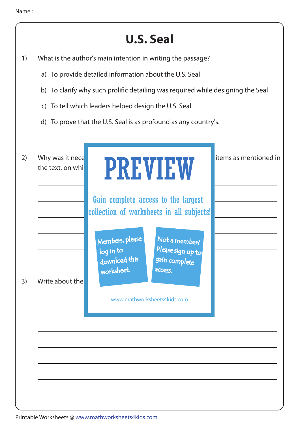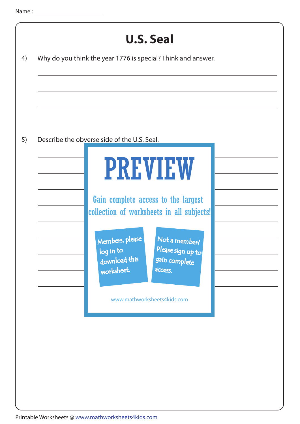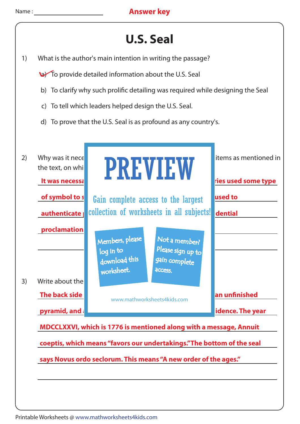